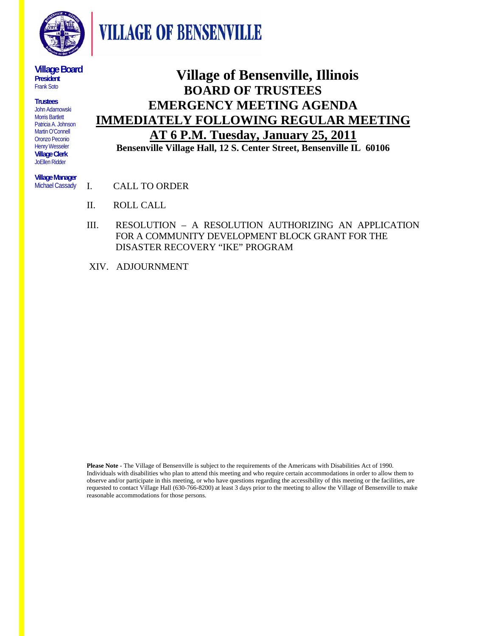

**VILLAGE OF BENSENVILLE** 

**Village Board President**  Frank Soto

**Trustees**  John Adamowski Morris Bartlett Patricia A. Johnson Martin O'Connell Oronzo Peconio Henry Wesseler **Village Clerk**  JoEllen Ridder

**Village of Bensenville, Illinois BOARD OF TRUSTEES EMERGENCY MEETING AGENDA IMMEDIATELY FOLLOWING REGULAR MEETING AT 6 P.M. Tuesday, January 25, 2011 Bensenville Village Hall, 12 S. Center Street, Bensenville IL 60106**

**Village Manager**  Michael Cassady

I. CALL TO ORDER

- II. ROLL CALL
- III. RESOLUTION A RESOLUTION AUTHORIZING AN APPLICATION FOR A COMMUNITY DEVELOPMENT BLOCK GRANT FOR THE DISASTER RECOVERY "IKE" PROGRAM
- XIV. ADJOURNMENT

**Please Note** - The Village of Bensenville is subject to the requirements of the Americans with Disabilities Act of 1990. Individuals with disabilities who plan to attend this meeting and who require certain accommodations in order to allow them to observe and/or participate in this meeting, or who have questions regarding the accessibility of this meeting or the facilities, are requested to contact Village Hall (630-766-8200) at least 3 days prior to the meeting to allow the Village of Bensenville to make reasonable accommodations for those persons.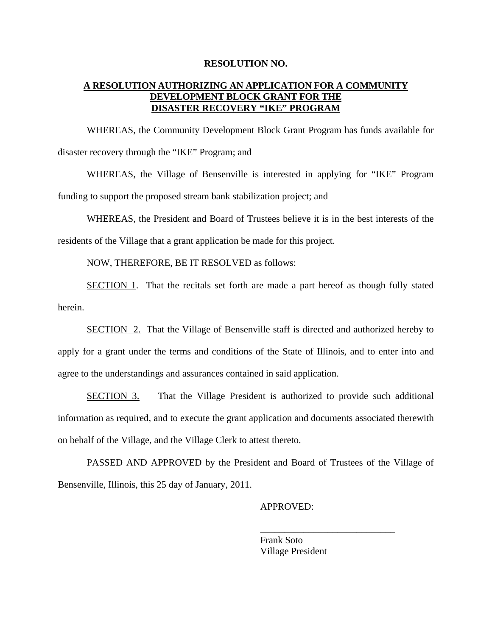## **RESOLUTION NO.**

## **A RESOLUTION AUTHORIZING AN APPLICATION FOR A COMMUNITY DEVELOPMENT BLOCK GRANT FOR THE DISASTER RECOVERY "IKE" PROGRAM**

WHEREAS, the Community Development Block Grant Program has funds available for disaster recovery through the "IKE" Program; and

WHEREAS, the Village of Bensenville is interested in applying for "IKE" Program funding to support the proposed stream bank stabilization project; and

WHEREAS, the President and Board of Trustees believe it is in the best interests of the residents of the Village that a grant application be made for this project.

NOW, THEREFORE, BE IT RESOLVED as follows:

SECTION 1. That the recitals set forth are made a part hereof as though fully stated herein.

SECTION 2. That the Village of Bensenville staff is directed and authorized hereby to apply for a grant under the terms and conditions of the State of Illinois, and to enter into and agree to the understandings and assurances contained in said application.

SECTION 3. That the Village President is authorized to provide such additional information as required, and to execute the grant application and documents associated therewith on behalf of the Village, and the Village Clerk to attest thereto.

 PASSED AND APPROVED by the President and Board of Trustees of the Village of Bensenville, Illinois, this 25 day of January, 2011.

 $\overline{\phantom{a}}$  , which is a set of the set of the set of the set of the set of the set of the set of the set of the set of the set of the set of the set of the set of the set of the set of the set of the set of the set of th

## APPROVED:

 Frank Soto Village President